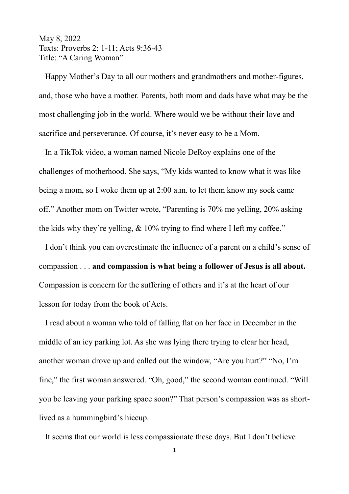## May 8, 2022 Texts: Proverbs 2: 1-11; Acts 9:36-43 Title: "A Caring Woman"

 Happy Mother's Day to all our mothers and grandmothers and mother-figures, and, those who have a mother. Parents, both mom and dads have what may be the most challenging job in the world. Where would we be without their love and sacrifice and perseverance. Of course, it's never easy to be a Mom.

 In a TikTok video, a woman named Nicole DeRoy explains one of the challenges of motherhood. She says, "My kids wanted to know what it was like being a mom, so I woke them up at 2:00 a.m. to let them know my sock came off." Another mom on Twitter wrote, "Parenting is 70% me yelling, 20% asking the kids why they're yelling, & 10% trying to find where I left my coffee."

 I don't think you can overestimate the influence of a parent on a child's sense of compassion . . . **and compassion is what being a follower of Jesus is all about.** Compassion is concern for the suffering of others and it's at the heart of our lesson for today from the book of Acts.

 I read about a woman who told of falling flat on her face in December in the middle of an icy parking lot. As she was lying there trying to clear her head, another woman drove up and called out the window, "Are you hurt?" "No, I'm fine," the first woman answered. "Oh, good," the second woman continued. "Will you be leaving your parking space soon?" That person's compassion was as shortlived as a hummingbird's hiccup.

It seems that our world is less compassionate these days. But I don't believe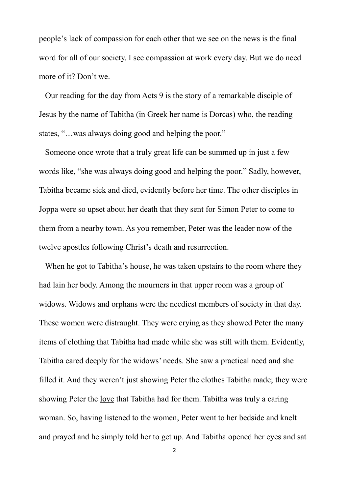people's lack of compassion for each other that we see on the news is the final word for all of our society. I see compassion at work every day. But we do need more of it? Don't we.

 Our reading for the day from Acts 9 is the story of a remarkable disciple of Jesus by the name of Tabitha (in Greek her name is Dorcas) who, the reading states, "…was always doing good and helping the poor."

 Someone once wrote that a truly great life can be summed up in just a few words like, "she was always doing good and helping the poor." Sadly, however, Tabitha became sick and died, evidently before her time. The other disciples in Joppa were so upset about her death that they sent for Simon Peter to come to them from a nearby town. As you remember, Peter was the leader now of the twelve apostles following Christ's death and resurrection.

 When he got to Tabitha's house, he was taken upstairs to the room where they had lain her body. Among the mourners in that upper room was a group of widows. Widows and orphans were the neediest members of society in that day. These women were distraught. They were crying as they showed Peter the many items of clothing that Tabitha had made while she was still with them. Evidently, Tabitha cared deeply for the widows' needs. She saw a practical need and she filled it. And they weren't just showing Peter the clothes Tabitha made; they were showing Peter the love that Tabitha had for them. Tabitha was truly a caring woman. So, having listened to the women, Peter went to her bedside and knelt and prayed and he simply told her to get up. And Tabitha opened her eyes and sat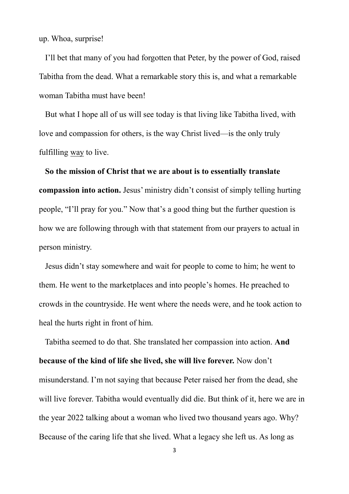up. Whoa, surprise!

 I'll bet that many of you had forgotten that Peter, by the power of God, raised Tabitha from the dead. What a remarkable story this is, and what a remarkable woman Tabitha must have been!

 But what I hope all of us will see today is that living like Tabitha lived, with love and compassion for others, is the way Christ lived—is the only truly fulfilling way to live.

 **So the mission of Christ that we are about is to essentially translate compassion into action.** Jesus' ministry didn't consist of simply telling hurting people, "I'll pray for you." Now that's a good thing but the further question is how we are following through with that statement from our prayers to actual in person ministry.

 Jesus didn't stay somewhere and wait for people to come to him; he went to them. He went to the marketplaces and into people's homes. He preached to crowds in the countryside. He went where the needs were, and he took action to heal the hurts right in front of him.

 Tabitha seemed to do that. She translated her compassion into action. **And because of the kind of life she lived, she will live forever.** Now don't misunderstand. I'm not saying that because Peter raised her from the dead, she will live forever. Tabitha would eventually did die. But think of it, here we are in the year 2022 talking about a woman who lived two thousand years ago. Why? Because of the caring life that she lived. What a legacy she left us. As long as